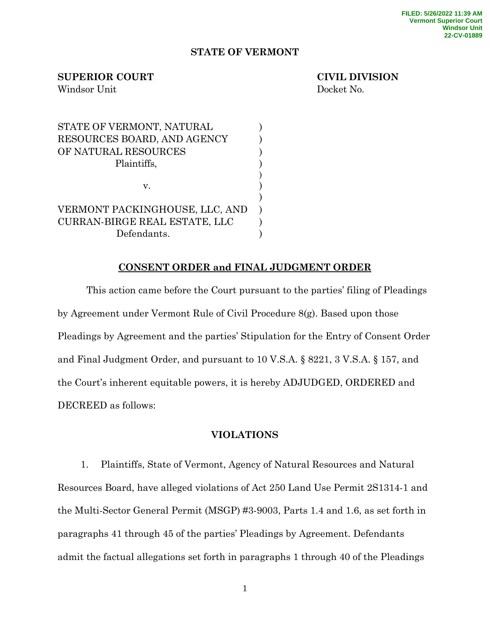### **STATE OF VERMONT**

## **SUPERIOR COURT CIVIL DIVISION**

Windsor Unit Docket No.

STATE OF VERMONT, NATURAL  $)$ RESOURCES BOARD, AND AGENCY ) OF NATURAL RESOURCES  $\hspace{2cm}$ Plaintiffs,  $\qquad \qquad$  ) ) v. ) ) VERMONT PACKINGHOUSE, LLC, AND ) CURRAN-BIRGE REAL ESTATE, LLC ) Defendants.

# **CONSENT ORDER and FINAL JUDGMENT ORDER**

This action came before the Court pursuant to the parties' filing of Pleadings by Agreement under Vermont Rule of Civil Procedure 8(g). Based upon those Pleadings by Agreement and the parties' Stipulation for the Entry of Consent Order and Final Judgment Order, and pursuant to 10 V.S.A. § 8221, 3 V.S.A. § 157, and the Court's inherent equitable powers, it is hereby ADJUDGED, ORDERED and DECREED as follows:

## **VIOLATIONS**

1. Plaintiffs, State of Vermont, Agency of Natural Resources and Natural Resources Board, have alleged violations of Act 250 Land Use Permit 2S1314-1 and the Multi-Sector General Permit (MSGP) #3-9003, Parts 1.4 and 1.6, as set forth in paragraphs 41 through 45 of the parties' Pleadings by Agreement. Defendants admit the factual allegations set forth in paragraphs 1 through 40 of the Pleadings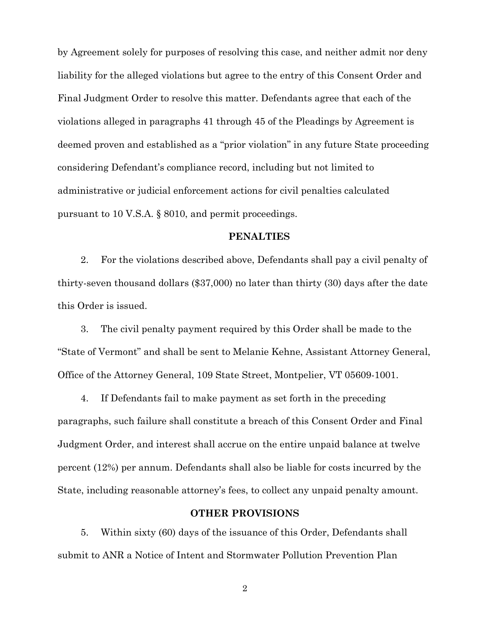by Agreement solely for purposes of resolving this case, and neither admit nor deny liability for the alleged violations but agree to the entry of this Consent Order and Final Judgment Order to resolve this matter. Defendants agree that each of the violations alleged in paragraphs 41 through 45 of the Pleadings by Agreement is deemed proven and established as a "prior violation" in any future State proceeding considering Defendant's compliance record, including but not limited to administrative or judicial enforcement actions for civil penalties calculated pursuant to 10 V.S.A. § 8010, and permit proceedings.

### **PENALTIES**

2. For the violations described above, Defendants shall pay a civil penalty of thirty-seven thousand dollars (\$37,000) no later than thirty (30) days after the date this Order is issued.

3. The civil penalty payment required by this Order shall be made to the "State of Vermont" and shall be sent to Melanie Kehne, Assistant Attorney General, Office of the Attorney General, 109 State Street, Montpelier, VT 05609-1001.

4. If Defendants fail to make payment as set forth in the preceding paragraphs, such failure shall constitute a breach of this Consent Order and Final Judgment Order, and interest shall accrue on the entire unpaid balance at twelve percent (12%) per annum. Defendants shall also be liable for costs incurred by the State, including reasonable attorney's fees, to collect any unpaid penalty amount.

### **OTHER PROVISIONS**

5. Within sixty (60) days of the issuance of this Order, Defendants shall submit to ANR a Notice of Intent and Stormwater Pollution Prevention Plan

2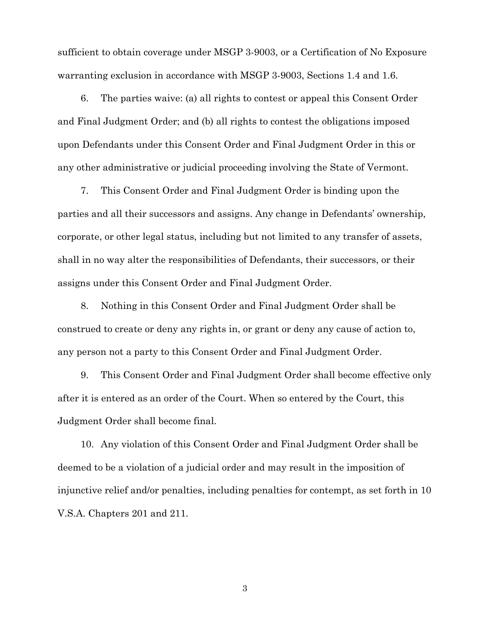sufficient to obtain coverage under MSGP 3-9003, or a Certification of No Exposure warranting exclusion in accordance with MSGP 3-9003, Sections 1.4 and 1.6.

6. The parties waive: (a) all rights to contest or appeal this Consent Order and Final Judgment Order; and (b) all rights to contest the obligations imposed upon Defendants under this Consent Order and Final Judgment Order in this or any other administrative or judicial proceeding involving the State of Vermont.

7. This Consent Order and Final Judgment Order is binding upon the parties and all their successors and assigns. Any change in Defendants' ownership, corporate, or other legal status, including but not limited to any transfer of assets, shall in no way alter the responsibilities of Defendants, their successors, or their assigns under this Consent Order and Final Judgment Order.

8. Nothing in this Consent Order and Final Judgment Order shall be construed to create or deny any rights in, or grant or deny any cause of action to, any person not a party to this Consent Order and Final Judgment Order.

9. This Consent Order and Final Judgment Order shall become effective only after it is entered as an order of the Court. When so entered by the Court, this Judgment Order shall become final.

10. Any violation of this Consent Order and Final Judgment Order shall be deemed to be a violation of a judicial order and may result in the imposition of injunctive relief and/or penalties, including penalties for contempt, as set forth in 10 V.S.A. Chapters 201 and 211.

3